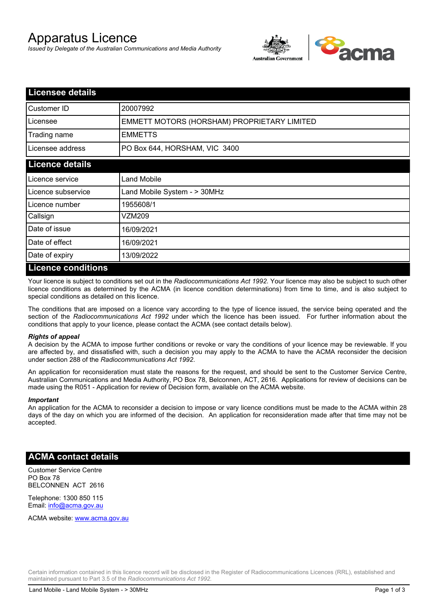# Apparatus Licence

*Issued by Delegate of the Australian Communications and Media Authority*



| <b>Licensee details</b> |                                             |  |  |
|-------------------------|---------------------------------------------|--|--|
| Customer ID             | 20007992                                    |  |  |
| Licensee                | EMMETT MOTORS (HORSHAM) PROPRIETARY LIMITED |  |  |
| Trading name            | <b>EMMETTS</b>                              |  |  |
| Licensee address        | PO Box 644, HORSHAM, VIC 3400               |  |  |
| <b>Licence details</b>  |                                             |  |  |
| l Licence service       | <b>Land Mobile</b>                          |  |  |
| Licence subservice      | Land Mobile System - > 30MHz                |  |  |
| l Licence number        | 1955608/1                                   |  |  |
| Callsign                | VZM209                                      |  |  |
| Date of issue           | 16/09/2021                                  |  |  |
| Date of effect          | 16/09/2021                                  |  |  |
| Date of expiry          | 13/09/2022                                  |  |  |
| Licance conditions      |                                             |  |  |

### **Licence conditions**

Your licence is subject to conditions set out in the *Radiocommunications Act 1992*. Your licence may also be subject to such other licence conditions as determined by the ACMA (in licence condition determinations) from time to time, and is also subject to special conditions as detailed on this licence.

The conditions that are imposed on a licence vary according to the type of licence issued, the service being operated and the section of the *Radiocommunications Act 1992* under which the licence has been issued. For further information about the conditions that apply to your licence, please contact the ACMA (see contact details below).

#### *Rights of appeal*

A decision by the ACMA to impose further conditions or revoke or vary the conditions of your licence may be reviewable. If you are affected by, and dissatisfied with, such a decision you may apply to the ACMA to have the ACMA reconsider the decision under section 288 of the *Radiocommunications Act 1992*.

An application for reconsideration must state the reasons for the request, and should be sent to the Customer Service Centre, Australian Communications and Media Authority, PO Box 78, Belconnen, ACT, 2616. Applications for review of decisions can be made using the R051 - Application for review of Decision form, available on the ACMA website.

#### *Important*

An application for the ACMA to reconsider a decision to impose or vary licence conditions must be made to the ACMA within 28 days of the day on which you are informed of the decision. An application for reconsideration made after that time may not be accepted.

## **ACMA contact details**

Customer Service Centre PO Box 78 BELCONNEN ACT 2616

Telephone: 1300 850 115 Email: info@acma.gov.au

ACMA website: www.acma.gov.au

Certain information contained in this licence record will be disclosed in the Register of Radiocommunications Licences (RRL), established and maintained pursuant to Part 3.5 of the *Radiocommunications Act 1992.*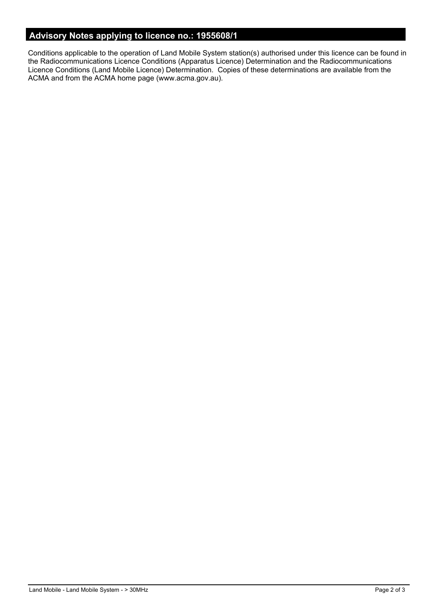# **Advisory Notes applying to licence no.: 1955608/1**

Conditions applicable to the operation of Land Mobile System station(s) authorised under this licence can be found in the Radiocommunications Licence Conditions (Apparatus Licence) Determination and the Radiocommunications Licence Conditions (Land Mobile Licence) Determination. Copies of these determinations are available from the ACMA and from the ACMA home page (www.acma.gov.au).